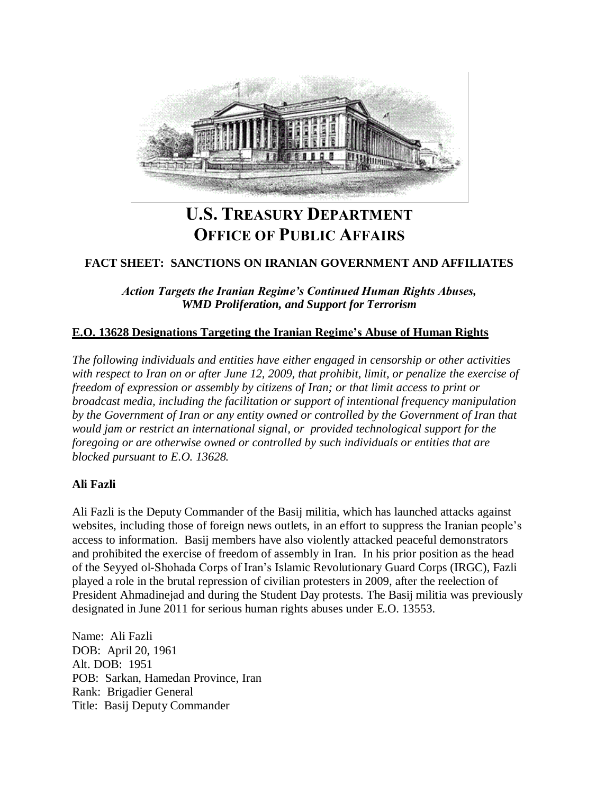

# **U.S. TREASURY DEPARTMENT OFFICE OF PUBLIC AFFAIRS**

# **FACT SHEET: SANCTIONS ON IRANIAN GOVERNMENT AND AFFILIATES**

*Action Targets the Iranian Regime's Continued Human Rights Abuses, WMD Proliferation, and Support for Terrorism*

## **E.O. 13628 Designations Targeting the Iranian Regime's Abuse of Human Rights**

*The following individuals and entities have either engaged in censorship or other activities with respect to Iran on or after June 12, 2009, that prohibit, limit, or penalize the exercise of freedom of expression or assembly by citizens of Iran; or that limit access to print or broadcast media, including the facilitation or support of intentional frequency manipulation by the Government of Iran or any entity owned or controlled by the Government of Iran that would jam or restrict an international signal, or provided technological support for the foregoing or are otherwise owned or controlled by such individuals or entities that are blocked pursuant to E.O. 13628.*

## **Ali Fazli**

Ali Fazli is the Deputy Commander of the Basij militia, which has launched attacks against websites, including those of foreign news outlets, in an effort to suppress the Iranian people's access to information. Basij members have also violently attacked peaceful demonstrators and prohibited the exercise of freedom of assembly in Iran. In his prior position as the head of the Seyyed ol-Shohada Corps of Iran's Islamic Revolutionary Guard Corps (IRGC), Fazli played a role in the brutal repression of civilian protesters in 2009, after the reelection of President Ahmadinejad and during the Student Day protests. The Basij militia was previously designated in June 2011 for serious human rights abuses under E.O. 13553.

Name: Ali Fazli DOB: April 20, 1961 Alt. DOB: 1951 POB: Sarkan, Hamedan Province, Iran Rank: Brigadier General Title: Basij Deputy Commander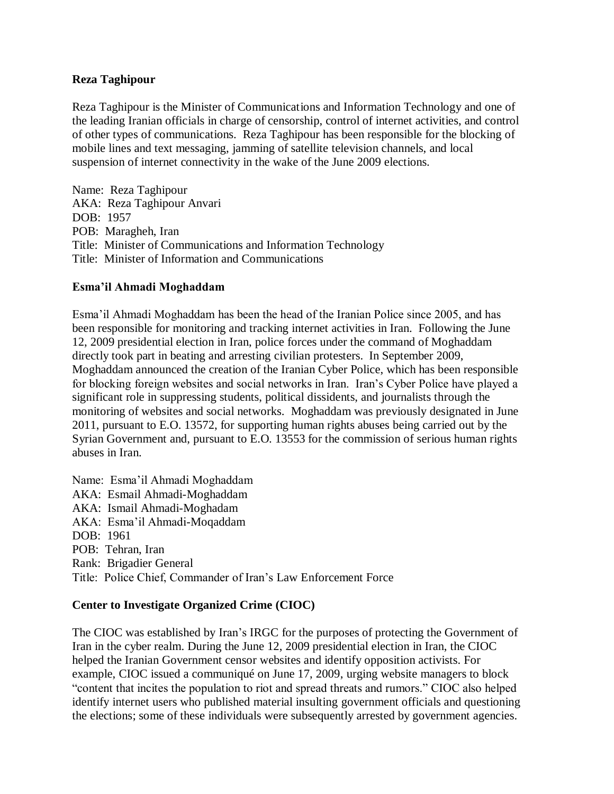## **Reza Taghipour**

Reza Taghipour is the Minister of Communications and Information Technology and one of the leading Iranian officials in charge of censorship, control of internet activities, and control of other types of communications. Reza Taghipour has been responsible for the blocking of mobile lines and text messaging, jamming of satellite television channels, and local suspension of internet connectivity in the wake of the June 2009 elections.

Name: Reza Taghipour AKA: Reza Taghipour Anvari DOB: 1957 POB: Maragheh, Iran Title: Minister of Communications and Information Technology Title: Minister of Information and Communications

## **Esma'il Ahmadi Moghaddam**

Esma'il Ahmadi Moghaddam has been the head of the Iranian Police since 2005, and has been responsible for monitoring and tracking internet activities in Iran. Following the June 12, 2009 presidential election in Iran, police forces under the command of Moghaddam directly took part in beating and arresting civilian protesters. In September 2009, Moghaddam announced the creation of the Iranian Cyber Police, which has been responsible for blocking foreign websites and social networks in Iran. Iran's Cyber Police have played a significant role in suppressing students, political dissidents, and journalists through the monitoring of websites and social networks. Moghaddam was previously designated in June 2011, pursuant to E.O. 13572, for supporting human rights abuses being carried out by the Syrian Government and, pursuant to E.O. 13553 for the commission of serious human rights abuses in Iran.

Name: Esma'il Ahmadi Moghaddam AKA: Esmail Ahmadi-Moghaddam AKA: Ismail Ahmadi-Moghadam AKA: Esma'il Ahmadi-Moqaddam DOB: 1961 POB: Tehran, Iran Rank: Brigadier General Title: Police Chief, Commander of Iran's Law Enforcement Force

## **Center to Investigate Organized Crime (CIOC)**

The CIOC was established by Iran's IRGC for the purposes of protecting the Government of Iran in the cyber realm. During the June 12, 2009 presidential election in Iran, the CIOC helped the Iranian Government censor websites and identify opposition activists. For example, CIOC issued a communiqué on June 17, 2009, urging website managers to block "content that incites the population to riot and spread threats and rumors." CIOC also helped identify internet users who published material insulting government officials and questioning the elections; some of these individuals were subsequently arrested by government agencies.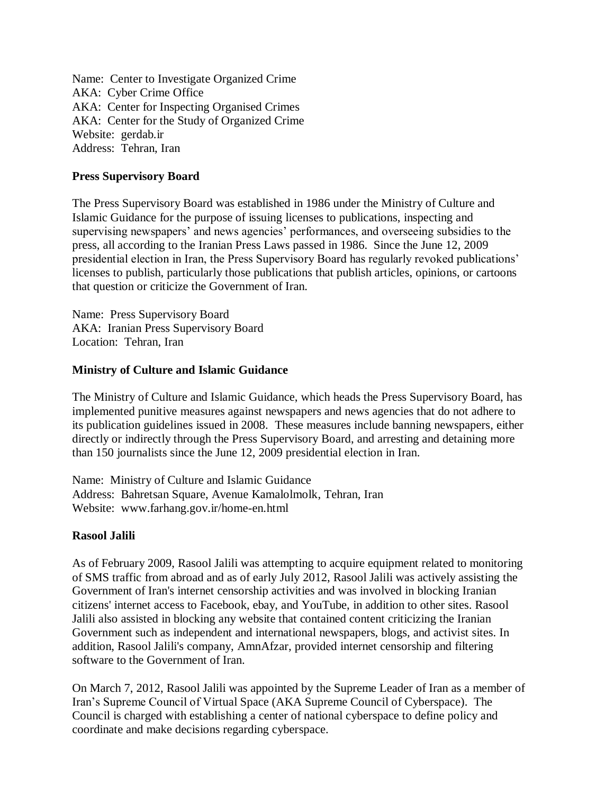Name: Center to Investigate Organized Crime AKA: Cyber Crime Office AKA: Center for Inspecting Organised Crimes AKA: Center for the Study of Organized Crime Website: gerdab.ir Address: Tehran, Iran

## **Press Supervisory Board**

The Press Supervisory Board was established in 1986 under the Ministry of Culture and Islamic Guidance for the purpose of issuing licenses to publications, inspecting and supervising newspapers' and news agencies' performances, and overseeing subsidies to the press, all according to the Iranian Press Laws passed in 1986. Since the June 12, 2009 presidential election in Iran, the Press Supervisory Board has regularly revoked publications' licenses to publish, particularly those publications that publish articles, opinions, or cartoons that question or criticize the Government of Iran.

Name: Press Supervisory Board AKA: Iranian Press Supervisory Board Location: Tehran, Iran

## **Ministry of Culture and Islamic Guidance**

The Ministry of Culture and Islamic Guidance, which heads the Press Supervisory Board, has implemented punitive measures against newspapers and news agencies that do not adhere to its publication guidelines issued in 2008. These measures include banning newspapers, either directly or indirectly through the Press Supervisory Board, and arresting and detaining more than 150 journalists since the June 12, 2009 presidential election in Iran.

Name: Ministry of Culture and Islamic Guidance Address: Bahretsan Square, Avenue Kamalolmolk, Tehran, Iran Website: www.farhang.gov.ir/home-en.html

## **Rasool Jalili**

As of February 2009, Rasool Jalili was attempting to acquire equipment related to monitoring of SMS traffic from abroad and as of early July 2012, Rasool Jalili was actively assisting the Government of Iran's internet censorship activities and was involved in blocking Iranian citizens' internet access to Facebook, ebay, and YouTube, in addition to other sites. Rasool Jalili also assisted in blocking any website that contained content criticizing the Iranian Government such as independent and international newspapers, blogs, and activist sites. In addition, Rasool Jalili's company, AmnAfzar, provided internet censorship and filtering software to the Government of Iran.

On March 7, 2012, Rasool Jalili was appointed by the Supreme Leader of Iran as a member of Iran's Supreme Council of Virtual Space (AKA Supreme Council of Cyberspace). The Council is charged with establishing a center of national cyberspace to define policy and coordinate and make decisions regarding cyberspace.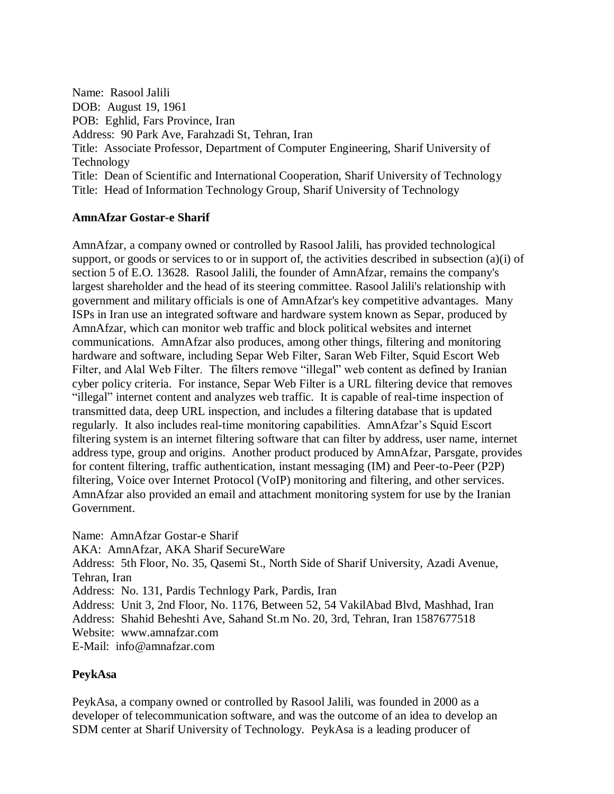Name: Rasool Jalili DOB: August 19, 1961 POB: Eghlid, Fars Province, Iran Address: 90 Park Ave, Farahzadi St, Tehran, Iran Title: Associate Professor, Department of Computer Engineering, Sharif University of Technology Title: Dean of Scientific and International Cooperation, Sharif University of Technology Title: Head of Information Technology Group, Sharif University of Technology

# **AmnAfzar Gostar-e Sharif**

AmnAfzar, a company owned or controlled by Rasool Jalili, has provided technological support, or goods or services to or in support of, the activities described in subsection (a)(i) of section 5 of E.O. 13628. Rasool Jalili, the founder of AmnAfzar, remains the company's largest shareholder and the head of its steering committee. Rasool Jalili's relationship with government and military officials is one of AmnAfzar's key competitive advantages. Many ISPs in Iran use an integrated software and hardware system known as Separ, produced by AmnAfzar, which can monitor web traffic and block political websites and internet communications. AmnAfzar also produces, among other things, filtering and monitoring hardware and software, including Separ Web Filter, Saran Web Filter, Squid Escort Web Filter, and Alal Web Filter. The filters remove "illegal" web content as defined by Iranian cyber policy criteria. For instance, Separ Web Filter is a URL filtering device that removes "illegal" internet content and analyzes web traffic. It is capable of real-time inspection of transmitted data, deep URL inspection, and includes a filtering database that is updated regularly. It also includes real-time monitoring capabilities. AmnAfzar's Squid Escort filtering system is an internet filtering software that can filter by address, user name, internet address type, group and origins. Another product produced by AmnAfzar, Parsgate, provides for content filtering, traffic authentication, instant messaging (IM) and Peer-to-Peer (P2P) filtering, Voice over Internet Protocol (VoIP) monitoring and filtering, and other services. AmnAfzar also provided an email and attachment monitoring system for use by the Iranian Government.

Name: AmnAfzar Gostar-e Sharif

AKA: AmnAfzar, AKA Sharif SecureWare

Address: 5th Floor, No. 35, Qasemi St., North Side of Sharif University, Azadi Avenue, Tehran, Iran

Address: No. 131, Pardis Technlogy Park, Pardis, Iran

Address: Unit 3, 2nd Floor, No. 1176, Between 52, 54 VakilAbad Blvd, Mashhad, Iran

Address: Shahid Beheshti Ave, Sahand St.m No. 20, 3rd, Tehran, Iran 1587677518

Website: www.amnafzar.com

E-Mail: info@amnafzar.com

# **PeykAsa**

PeykAsa, a company owned or controlled by Rasool Jalili, was founded in 2000 as a developer of telecommunication software, and was the outcome of an idea to develop an SDM center at Sharif University of Technology. PeykAsa is a leading producer of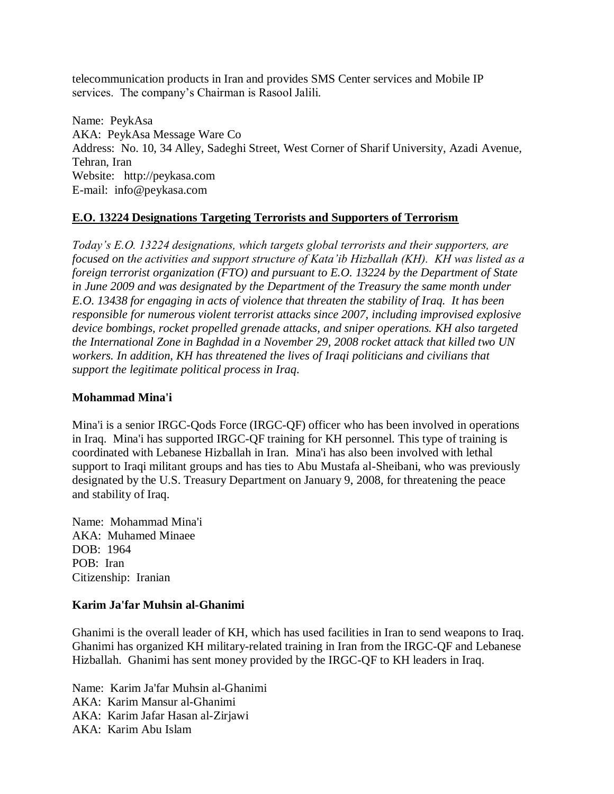telecommunication products in Iran and provides SMS Center services and Mobile IP services. The company's Chairman is Rasool Jalili.

Name: PeykAsa AKA: PeykAsa Message Ware Co Address: No. 10, 34 Alley, Sadeghi Street, West Corner of Sharif University, Azadi Avenue, Tehran, Iran Website: http://peykasa.com E-mail: info@peykasa.com

# **E.O. 13224 Designations Targeting Terrorists and Supporters of Terrorism**

*Today's E.O. 13224 designations, which targets global terrorists and their supporters, are focused on the activities and support structure of Kata'ib Hizballah (KH). KH was listed as a foreign terrorist organization (FTO) and pursuant to E.O. 13224 by the Department of State in June 2009 and was designated by the Department of the Treasury the same month under E.O. 13438 for engaging in acts of violence that threaten the stability of Iraq. It has been responsible for numerous violent terrorist attacks since 2007, including improvised explosive device bombings, rocket propelled grenade attacks, and sniper operations. KH also targeted the International Zone in Baghdad in a November 29, 2008 rocket attack that killed two UN workers. In addition, KH has threatened the lives of Iraqi politicians and civilians that support the legitimate political process in Iraq.*

# **Mohammad Mina'i**

Mina'i is a senior IRGC-Qods Force (IRGC-QF) officer who has been involved in operations in Iraq. Mina'i has supported IRGC-QF training for KH personnel. This type of training is coordinated with Lebanese Hizballah in Iran. Mina'i has also been involved with lethal support to Iraqi militant groups and has ties to Abu Mustafa al-Sheibani, who was previously designated by the U.S. Treasury Department on January 9, 2008, for threatening the peace and stability of Iraq.

Name: Mohammad Mina'i AKA: Muhamed Minaee DOB: 1964 POB: Iran Citizenship: Iranian

# **Karim Ja'far Muhsin al-Ghanimi**

Ghanimi is the overall leader of KH, which has used facilities in Iran to send weapons to Iraq. Ghanimi has organized KH military-related training in Iran from the IRGC-QF and Lebanese Hizballah. Ghanimi has sent money provided by the IRGC-QF to KH leaders in Iraq.

Name: Karim Ja'far Muhsin al-Ghanimi AKA: Karim Mansur al-Ghanimi AKA: Karim Jafar Hasan al-Zirjawi AKA: Karim Abu Islam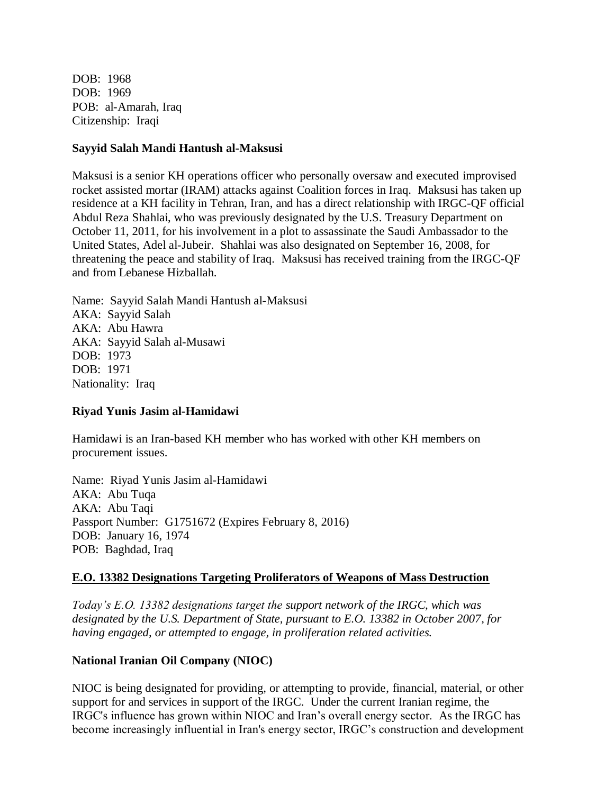DOB: 1968 DOB: 1969 POB: al-Amarah, Iraq Citizenship: Iraqi

#### **Sayyid Salah Mandi Hantush al-Maksusi**

Maksusi is a senior KH operations officer who personally oversaw and executed improvised rocket assisted mortar (IRAM) attacks against Coalition forces in Iraq. Maksusi has taken up residence at a KH facility in Tehran, Iran, and has a direct relationship with IRGC-QF official Abdul Reza Shahlai, who was previously designated by the U.S. Treasury Department on October 11, 2011, for his involvement in a plot to assassinate the Saudi Ambassador to the United States, Adel al-Jubeir. Shahlai was also designated on September 16, 2008, for threatening the peace and stability of Iraq. Maksusi has received training from the IRGC-QF and from Lebanese Hizballah.

Name: Sayyid Salah Mandi Hantush al-Maksusi AKA: Sayyid Salah AKA: Abu Hawra AKA: Sayyid Salah al-Musawi DOB: 1973 DOB: 1971 Nationality: Iraq

## **Riyad Yunis Jasim al-Hamidawi**

Hamidawi is an Iran-based KH member who has worked with other KH members on procurement issues.

Name: Riyad Yunis Jasim al-Hamidawi AKA: Abu Tuqa AKA: Abu Taqi Passport Number: G1751672 (Expires February 8, 2016) DOB: January 16, 1974 POB: Baghdad, Iraq

## **E.O. 13382 Designations Targeting Proliferators of Weapons of Mass Destruction**

*Today's E.O. 13382 designations target the support network of the IRGC, which was designated by the U.S. Department of State, pursuant to E.O. 13382 in October 2007, for having engaged, or attempted to engage, in proliferation related activities.* 

## **National Iranian Oil Company (NIOC)**

NIOC is being designated for providing, or attempting to provide, financial, material, or other support for and services in support of the IRGC. Under the current Iranian regime, the IRGC's influence has grown within NIOC and Iran's overall energy sector. As the IRGC has become increasingly influential in Iran's energy sector, IRGC's construction and development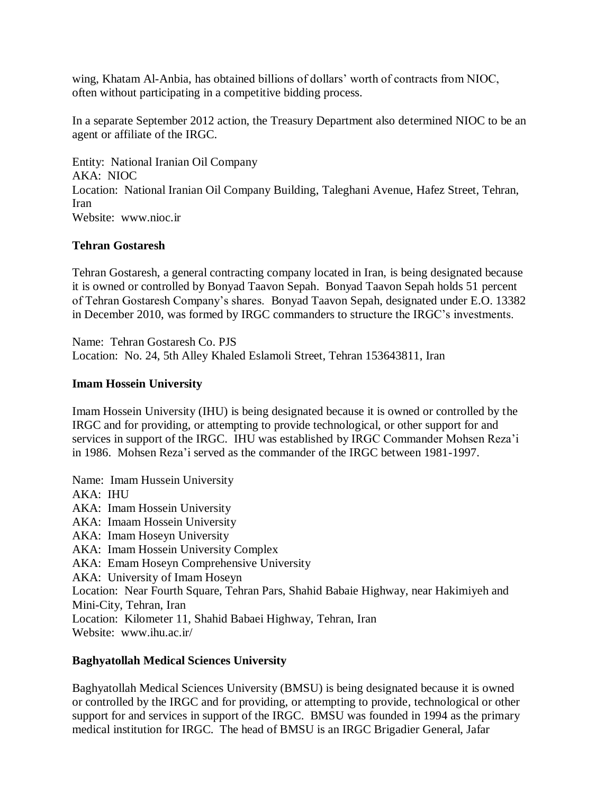wing, Khatam Al-Anbia, has obtained billions of dollars' worth of contracts from NIOC, often without participating in a competitive bidding process.

In a separate September 2012 action, the Treasury Department also determined NIOC to be an agent or affiliate of the IRGC.

Entity: National Iranian Oil Company AKA: NIOC Location: National Iranian Oil Company Building, Taleghani Avenue, Hafez Street, Tehran, Iran Website: www.nioc.ir

## **Tehran Gostaresh**

Tehran Gostaresh, a general contracting company located in Iran, is being designated because it is owned or controlled by Bonyad Taavon Sepah. Bonyad Taavon Sepah holds 51 percent of Tehran Gostaresh Company's shares. Bonyad Taavon Sepah, designated under E.O. 13382 in December 2010, was formed by IRGC commanders to structure the IRGC's investments.

Name: Tehran Gostaresh Co. PJS Location: No. 24, 5th Alley Khaled Eslamoli Street, Tehran 153643811, Iran

## **Imam Hossein University**

Imam Hossein University (IHU) is being designated because it is owned or controlled by the IRGC and for providing, or attempting to provide technological, or other support for and services in support of the IRGC. IHU was established by IRGC Commander Mohsen Reza'i in 1986. Mohsen Reza'i served as the commander of the IRGC between 1981-1997.

Name: Imam Hussein University AKA: IHU AKA: Imam Hossein University AKA: Imaam Hossein University AKA: Imam Hoseyn University AKA: Imam Hossein University Complex AKA: Emam Hoseyn Comprehensive University AKA: University of Imam Hoseyn Location: Near Fourth Square, Tehran Pars, Shahid Babaie Highway, near Hakimiyeh and Mini-City, Tehran, Iran Location: Kilometer 11, Shahid Babaei Highway, Tehran, Iran Website: www.ihu.ac.ir/

## **Baghyatollah Medical Sciences University**

Baghyatollah Medical Sciences University (BMSU) is being designated because it is owned or controlled by the IRGC and for providing, or attempting to provide, technological or other support for and services in support of the IRGC. BMSU was founded in 1994 as the primary medical institution for IRGC. The head of BMSU is an IRGC Brigadier General, Jafar